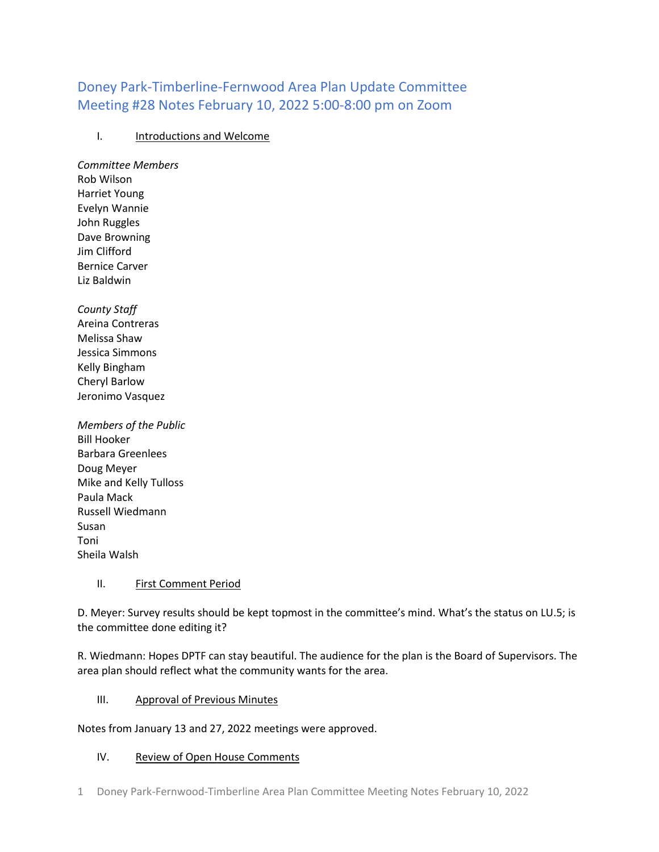# Doney Park-Timberline-Fernwood Area Plan Update Committee Meeting #28 Notes February 10, 2022 5:00-8:00 pm on Zoom

## I. Introductions and Welcome

*Committee Members* Rob Wilson Harriet Young Evelyn Wannie John Ruggles Dave Browning Jim Clifford Bernice Carver Liz Baldwin

*County Staff* Areina Contreras Melissa Shaw Jessica Simmons Kelly Bingham Cheryl Barlow Jeronimo Vasquez

*Members of the Public* Bill Hooker Barbara Greenlees Doug Meyer Mike and Kelly Tulloss Paula Mack Russell Wiedmann Susan Toni Sheila Walsh

## II. First Comment Period

D. Meyer: Survey results should be kept topmost in the committee's mind. What's the status on LU.5; is the committee done editing it?

R. Wiedmann: Hopes DPTF can stay beautiful. The audience for the plan is the Board of Supervisors. The area plan should reflect what the community wants for the area.

## III. Approval of Previous Minutes

Notes from January 13 and 27, 2022 meetings were approved.

## IV. Review of Open House Comments

1 Doney Park-Fernwood-Timberline Area Plan Committee Meeting Notes February 10, 2022